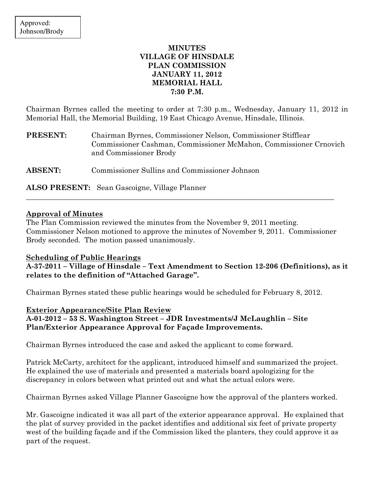# MINUTES VILLAGE OF HINSDALE PLAN COMMISSION JANUARY 11, 2012 MEMORIAL HALL 7:30 P.M.

Chairman Byrnes called the meeting to order at 7:30 p.m., Wednesday, January 11, 2012 in Memorial Hall, the Memorial Building, 19 East Chicago Avenue, Hinsdale, Illinois.

PRESENT: Chairman Byrnes, Commissioner Nelson, Commissioner Stifflear Commissioner Cashman, Commissioner McMahon, Commissioner Crnovich and Commissioner Brody

ABSENT: Commissioner Sullins and Commissioner Johnson

ALSO PRESENT: Sean Gascoigne, Village Planner

## Approval of Minutes

The Plan Commission reviewed the minutes from the November 9, 2011 meeting. Commissioner Nelson motioned to approve the minutes of November 9, 2011. Commissioner Brody seconded. The motion passed unanimously.

\_\_\_\_\_\_\_\_\_\_\_\_\_\_\_\_\_\_\_\_\_\_\_\_\_\_\_\_\_\_\_\_\_\_\_\_\_\_\_\_\_\_\_\_\_\_\_\_\_\_\_\_\_\_\_\_\_\_\_\_\_\_\_\_\_\_\_\_\_\_\_\_\_\_\_\_\_\_\_\_\_\_\_\_\_

## Scheduling of Public Hearings

A-37-2011 – Village of Hinsdale – Text Amendment to Section 12-206 (Definitions), as it relates to the definition of "Attached Garage".

Chairman Byrnes stated these public hearings would be scheduled for February 8, 2012.

Exterior Appearance/Site Plan Review A-01-2012 – 53 S. Washington Street – JDR Investments/J McLaughlin – Site Plan/Exterior Appearance Approval for Façade Improvements.

Chairman Byrnes introduced the case and asked the applicant to come forward.

Patrick McCarty, architect for the applicant, introduced himself and summarized the project. He explained the use of materials and presented a materials board apologizing for the discrepancy in colors between what printed out and what the actual colors were.

Chairman Byrnes asked Village Planner Gascoigne how the approval of the planters worked.

Mr. Gascoigne indicated it was all part of the exterior appearance approval. He explained that the plat of survey provided in the packet identifies and additional six feet of private property west of the building façade and if the Commission liked the planters, they could approve it as part of the request.